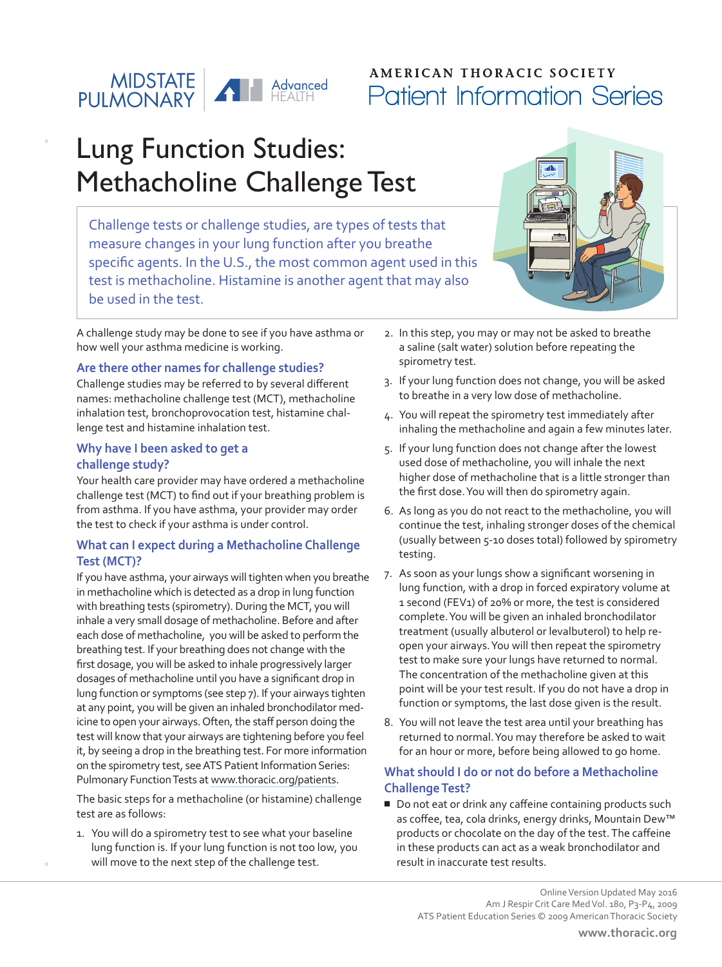## | MIDSTATE<br>| PULMONARY Advanced

## **AMERICAN THORACIC SOCIETY** Patient Information Series

# Lung Function Studies: Methacholine Challenge Test

Challenge tests or challenge studies, are types of tests that measure changes in your lung function after you breathe specific agents. In the U.S., the most common agent used in this test is methacholine. Histamine is another agent that may also be used in the test.

A challenge study may be done to see if you have asthma or how well your asthma medicine is working.

#### **Are there other names for challenge studies?**

Challenge studies may be referred to by several different names: methacholine challenge test (MCT), methacholine inhalation test, bronchoprovocation test, histamine challenge test and histamine inhalation test.

#### **Why have I been asked to get a challenge study?**

Your health care provider may have ordered a methacholine challenge test (MCT) to find out if your breathing problem is from asthma. If you have asthma, your provider may order the test to check if your asthma is under control.

#### **What can I expect during a Methacholine Challenge Test (MCT)?**

If you have asthma, your airways will tighten when you breathe in methacholine which is detected as a drop in lung function with breathing tests (spirometry). During the MCT, you will inhale a very small dosage of methacholine. Before and after each dose of methacholine, you will be asked to perform the breathing test. If your breathing does not change with the first dosage, you will be asked to inhale progressively larger dosages of methacholine until you have a significant drop in lung function or symptoms (see step 7). If your airways tighten at any point, you will be given an inhaled bronchodilator medicine to open your airways. Often, the staff person doing the test will know that your airways are tightening before you feel it, by seeing a drop in the breathing test. For more information on the spirometry test, see ATS Patient Information Series: Pulmonary Function Tests at [www.thoracic.org/patients](http://www.thoracic.org/patients).

The basic steps for a methacholine (or histamine) challenge test are as follows:

1. You will do a spirometry test to see what your baseline lung function is. If your lung function is not too low, you will move to the next step of the challenge test.

- 
- 2. In this step, you may or may not be asked to breathe a saline (salt water) solution before repeating the spirometry test.
- 3. If your lung function does not change, you will be asked to breathe in a very low dose of methacholine.
- 4. You will repeat the spirometry test immediately after inhaling the methacholine and again a few minutes later.
- 5. If your lung function does not change after the lowest used dose of methacholine, you will inhale the next higher dose of methacholine that is a little stronger than the first dose. You will then do spirometry again.
- 6. As long as you do not react to the methacholine, you will continue the test, inhaling stronger doses of the chemical (usually between 5-10 doses total) followed by spirometry testing.
- 7. As soon as your lungs show a significant worsening in lung function, with a drop in forced expiratory volume at 1 second (FEV1) of 20% or more, the test is considered complete. You will be given an inhaled bronchodilator treatment (usually albuterol or levalbuterol) to help reopen your airways. You will then repeat the spirometry test to make sure your lungs have returned to normal. The concentration of the methacholine given at this point will be your test result. If you do not have a drop in function or symptoms, the last dose given is the result.
- 8. You will not leave the test area until your breathing has returned to normal. You may therefore be asked to wait for an hour or more, before being allowed to go home.

#### **What should I do or not do before a Methacholine Challenge Test?**

■ Do not eat or drink any caffeine containing products such as coffee, tea, cola drinks, energy drinks, Mountain Dew™ products or chocolate on the day of the test. The caffeine in these products can act as a weak bronchodilator and result in inaccurate test results.

> Online Version Updated May 2016 Am J Respir Crit Care Med Vol. 180, P3-P4, 2009 ATS Patient Education Series © 2009 American Thoracic Society

**[www.thoracic.org](http://www.thoracic.org)**